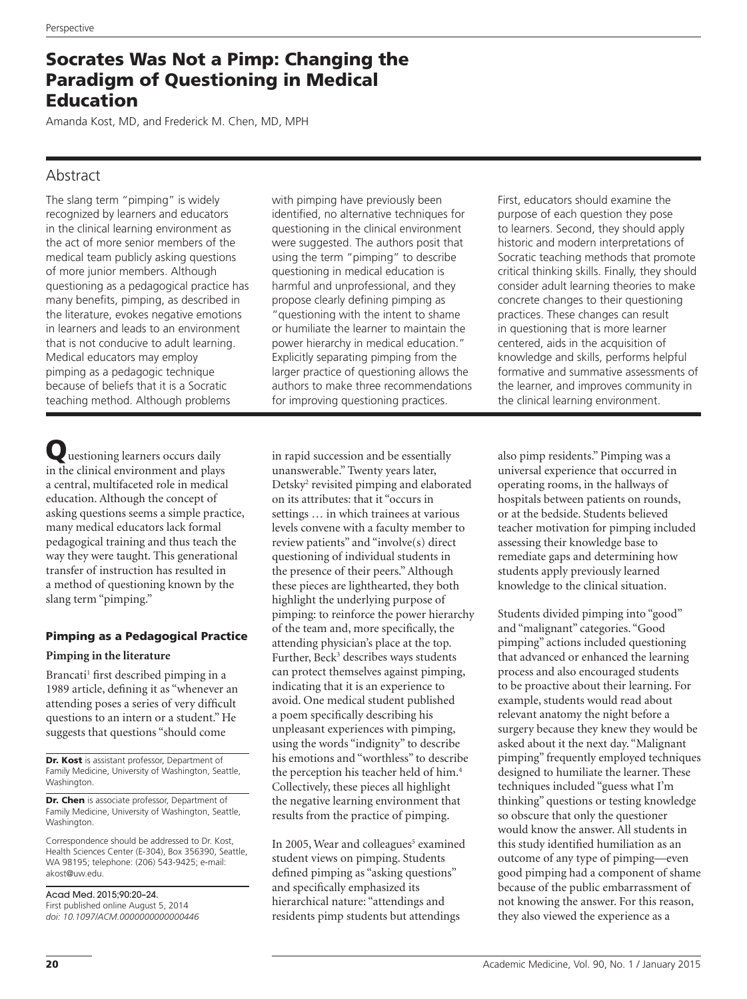# Socrates Was Not a Pimp: Changing the Paradigm of Questioning in Medical Education

Amanda Kost, MD, and Frederick M. Chen, MD, MPH

# Abstract

The slang term "pimping" is widely recognized by learners and educators in the clinical learning environment as the act of more senior members of the medical team publicly asking questions of more junior members. Although questioning as a pedagogical practice has many benefits, pimping, as described in the literature, evokes negative emotions in learners and leads to an environment that is not conducive to adult learning. Medical educators may employ pimping as a pedagogic technique because of beliefs that it is a Socratic teaching method. Although problems

Questioning learners occurs daily in the clinical environment and plays a central, multifaceted role in medical education. Although the concept of asking questions seems a simple practice, many medical educators lack formal pedagogical training and thus teach the way they were taught. This generational transfer of instruction has resulted in a method of questioning known by the slang term "pimping."

## Pimping as a Pedagogical Practice

#### **Pimping in the literature**

Brancati<sup>1</sup> first described pimping in a 1989 article, defining it as "whenever an attending poses a series of very difficult questions to an intern or a student." He suggests that questions "should come

Dr. Kost is assistant professor, Department of Family Medicine, University of Washington, Seattle, Washington.

Dr. Chen is associate professor, Department of Family Medicine, University of Washington, Seattle, Washington.

Correspondence should be addressed to Dr. Kost, Health Sciences Center (E-304), Box 356390, Seattle, WA 98195; telephone: (206) 543-9425; e-mail: [akost@uw.edu.](mailto:akost@uw.edu)

Acad Med. 2015;90:20–24. First published online August 5, 2014 *doi: 10.1097/ACM.0000000000000446* with pimping have previously been identified, no alternative techniques for questioning in the clinical environment were suggested. The authors posit that using the term "pimping" to describe questioning in medical education is harmful and unprofessional, and they propose clearly defining pimping as "questioning with the intent to shame or humiliate the learner to maintain the power hierarchy in medical education." Explicitly separating pimping from the larger practice of questioning allows the authors to make three recommendations for improving questioning practices.

in rapid succession and be essentially unanswerable." Twenty years later, Detsky<sup>2</sup> revisited pimping and elaborated on its attributes: that it "occurs in settings … in which trainees at various levels convene with a faculty member to review patients" and "involve(s) direct questioning of individual students in the presence of their peers." Although these pieces are lighthearted, they both highlight the underlying purpose of pimping: to reinforce the power hierarchy of the team and, more specifically, the attending physician's place at the top. Further, Beck<sup>3</sup> describes ways students can protect themselves against pimping, indicating that it is an experience to avoid. One medical student published a poem specifically describing his unpleasant experiences with pimping, using the words "indignity" to describe his emotions and "worthless" to describe the perception his teacher held of him.4 Collectively, these pieces all highlight the negative learning environment that results from the practice of pimping.

In 2005, Wear and colleagues<sup>5</sup> examined student views on pimping. Students defined pimping as "asking questions" and specifically emphasized its hierarchical nature: "attendings and residents pimp students but attendings

First, educators should examine the purpose of each question they pose to learners. Second, they should apply historic and modern interpretations of Socratic teaching methods that promote critical thinking skills. Finally, they should consider adult learning theories to make concrete changes to their questioning practices. These changes can result in questioning that is more learner centered, aids in the acquisition of knowledge and skills, performs helpful formative and summative assessments of the learner, and improves community in the clinical learning environment.

also pimp residents." Pimping was a universal experience that occurred in operating rooms, in the hallways of hospitals between patients on rounds, or at the bedside. Students believed teacher motivation for pimping included assessing their knowledge base to remediate gaps and determining how students apply previously learned knowledge to the clinical situation.

Students divided pimping into "good" and "malignant" categories. "Good pimping" actions included questioning that advanced or enhanced the learning process and also encouraged students to be proactive about their learning. For example, students would read about relevant anatomy the night before a surgery because they knew they would be asked about it the next day. "Malignant pimping" frequently employed techniques designed to humiliate the learner. These techniques included "guess what I'm thinking" questions or testing knowledge so obscure that only the questioner would know the answer. All students in this study identified humiliation as an outcome of any type of pimping—even good pimping had a component of shame because of the public embarrassment of not knowing the answer. For this reason, they also viewed the experience as a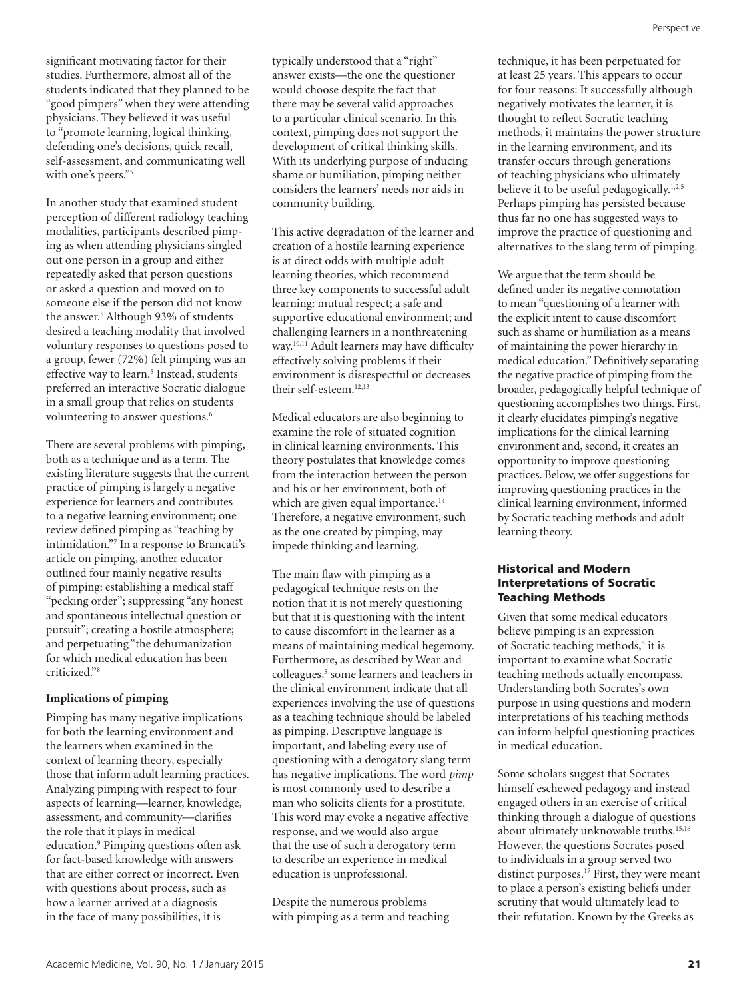significant motivating factor for their studies. Furthermore, almost all of the students indicated that they planned to be "good pimpers" when they were attending physicians. They believed it was useful to "promote learning, logical thinking, defending one's decisions, quick recall, self-assessment, and communicating well with one's peers."5

In another study that examined student perception of different radiology teaching modalities, participants described pimping as when attending physicians singled out one person in a group and either repeatedly asked that person questions or asked a question and moved on to someone else if the person did not know the answer.<sup>5</sup> Although 93% of students desired a teaching modality that involved voluntary responses to questions posed to a group, fewer (72%) felt pimping was an effective way to learn.<sup>5</sup> Instead, students preferred an interactive Socratic dialogue in a small group that relies on students volunteering to answer questions.<sup>6</sup>

There are several problems with pimping, both as a technique and as a term. The existing literature suggests that the current practice of pimping is largely a negative experience for learners and contributes to a negative learning environment; one review defined pimping as "teaching by intimidation."7 In a response to Brancati's article on pimping, another educator outlined four mainly negative results of pimping: establishing a medical staff "pecking order"; suppressing "any honest and spontaneous intellectual question or pursuit"; creating a hostile atmosphere; and perpetuating "the dehumanization for which medical education has been criticized."8

#### **Implications of pimping**

Pimping has many negative implications for both the learning environment and the learners when examined in the context of learning theory, especially those that inform adult learning practices. Analyzing pimping with respect to four aspects of learning—learner, knowledge, assessment, and community—clarifies the role that it plays in medical education.<sup>9</sup> Pimping questions often ask for fact-based knowledge with answers that are either correct or incorrect. Even with questions about process, such as how a learner arrived at a diagnosis in the face of many possibilities, it is

typically understood that a "right" answer exists—the one the questioner would choose despite the fact that there may be several valid approaches to a particular clinical scenario. In this context, pimping does not support the development of critical thinking skills. With its underlying purpose of inducing shame or humiliation, pimping neither considers the learners' needs nor aids in community building.

This active degradation of the learner and creation of a hostile learning experience is at direct odds with multiple adult learning theories, which recommend three key components to successful adult learning: mutual respect; a safe and supportive educational environment; and challenging learners in a nonthreatening way.<sup>10,11</sup> Adult learners may have difficulty effectively solving problems if their environment is disrespectful or decreases their self-esteem.<sup>12,13</sup>

Medical educators are also beginning to examine the role of situated cognition in clinical learning environments. This theory postulates that knowledge comes from the interaction between the person and his or her environment, both of which are given equal importance.<sup>14</sup> Therefore, a negative environment, such as the one created by pimping, may impede thinking and learning.

The main flaw with pimping as a pedagogical technique rests on the notion that it is not merely questioning but that it is questioning with the intent to cause discomfort in the learner as a means of maintaining medical hegemony. Furthermore, as described by Wear and colleagues,<sup>5</sup> some learners and teachers in the clinical environment indicate that all experiences involving the use of questions as a teaching technique should be labeled as pimping. Descriptive language is important, and labeling every use of questioning with a derogatory slang term has negative implications. The word *pimp* is most commonly used to describe a man who solicits clients for a prostitute. This word may evoke a negative affective response, and we would also argue that the use of such a derogatory term to describe an experience in medical education is unprofessional.

Despite the numerous problems with pimping as a term and teaching technique, it has been perpetuated for at least 25 years. This appears to occur for four reasons: It successfully although negatively motivates the learner, it is thought to reflect Socratic teaching methods, it maintains the power structure in the learning environment, and its transfer occurs through generations of teaching physicians who ultimately believe it to be useful pedagogically.<sup>1,2,5</sup> Perhaps pimping has persisted because thus far no one has suggested ways to improve the practice of questioning and alternatives to the slang term of pimping.

We argue that the term should be defined under its negative connotation to mean "questioning of a learner with the explicit intent to cause discomfort such as shame or humiliation as a means of maintaining the power hierarchy in medical education." Definitively separating the negative practice of pimping from the broader, pedagogically helpful technique of questioning accomplishes two things. First, it clearly elucidates pimping's negative implications for the clinical learning environment and, second, it creates an opportunity to improve questioning practices. Below, we offer suggestions for improving questioning practices in the clinical learning environment, informed by Socratic teaching methods and adult learning theory.

#### Historical and Modern Interpretations of Socratic Teaching Methods

Given that some medical educators believe pimping is an expression of Socratic teaching methods,<sup>5</sup> it is important to examine what Socratic teaching methods actually encompass. Understanding both Socrates's own purpose in using questions and modern interpretations of his teaching methods can inform helpful questioning practices in medical education.

Some scholars suggest that Socrates himself eschewed pedagogy and instead engaged others in an exercise of critical thinking through a dialogue of questions about ultimately unknowable truths.<sup>15,16</sup> However, the questions Socrates posed to individuals in a group served two distinct purposes.<sup>17</sup> First, they were meant to place a person's existing beliefs under scrutiny that would ultimately lead to their refutation. Known by the Greeks as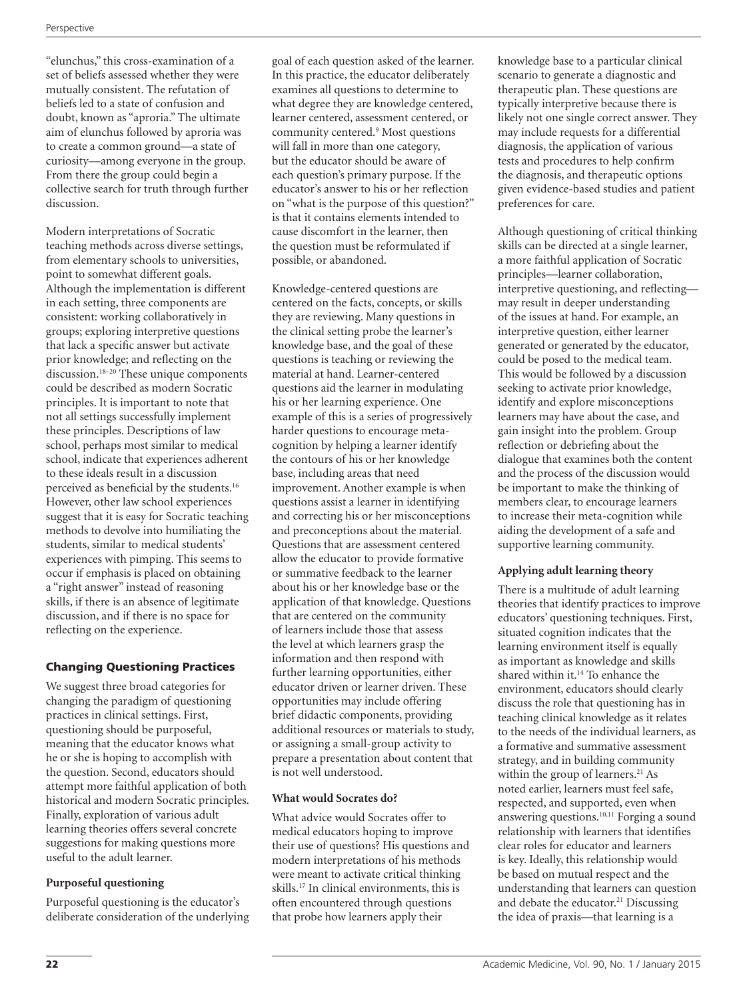"elunchus," this cross-examination of a set of beliefs assessed whether they were mutually consistent. The refutation of beliefs led to a state of confusion and doubt, known as "aproria." The ultimate aim of elunchus followed by aproria was to create a common ground—a state of curiosity—among everyone in the group. From there the group could begin a collective search for truth through further discussion.

Modern interpretations of Socratic teaching methods across diverse settings, from elementary schools to universities, point to somewhat different goals. Although the implementation is different in each setting, three components are consistent: working collaboratively in groups; exploring interpretive questions that lack a specific answer but activate prior knowledge; and reflecting on the discussion.18–20 These unique components could be described as modern Socratic principles. It is important to note that not all settings successfully implement these principles. Descriptions of law school, perhaps most similar to medical school, indicate that experiences adherent to these ideals result in a discussion perceived as beneficial by the students.<sup>16</sup> However, other law school experiences suggest that it is easy for Socratic teaching methods to devolve into humiliating the students, similar to medical students' experiences with pimping. This seems to occur if emphasis is placed on obtaining a "right answer" instead of reasoning skills, if there is an absence of legitimate discussion, and if there is no space for reflecting on the experience.

# Changing Questioning Practices

We suggest three broad categories for changing the paradigm of questioning practices in clinical settings. First, questioning should be purposeful, meaning that the educator knows what he or she is hoping to accomplish with the question. Second, educators should attempt more faithful application of both historical and modern Socratic principles. Finally, exploration of various adult learning theories offers several concrete suggestions for making questions more useful to the adult learner.

## **Purposeful questioning**

Purposeful questioning is the educator's deliberate consideration of the underlying goal of each question asked of the learner. In this practice, the educator deliberately examines all questions to determine to what degree they are knowledge centered, learner centered, assessment centered, or community centered.9 Most questions will fall in more than one category, but the educator should be aware of each question's primary purpose. If the educator's answer to his or her reflection on "what is the purpose of this question?" is that it contains elements intended to cause discomfort in the learner, then the question must be reformulated if possible, or abandoned.

Knowledge-centered questions are centered on the facts, concepts, or skills they are reviewing. Many questions in the clinical setting probe the learner's knowledge base, and the goal of these questions is teaching or reviewing the material at hand. Learner-centered questions aid the learner in modulating his or her learning experience. One example of this is a series of progressively harder questions to encourage metacognition by helping a learner identify the contours of his or her knowledge base, including areas that need improvement. Another example is when questions assist a learner in identifying and correcting his or her misconceptions and preconceptions about the material. Questions that are assessment centered allow the educator to provide formative or summative feedback to the learner about his or her knowledge base or the application of that knowledge. Questions that are centered on the community of learners include those that assess the level at which learners grasp the information and then respond with further learning opportunities, either educator driven or learner driven. These opportunities may include offering brief didactic components, providing additional resources or materials to study, or assigning a small-group activity to prepare a presentation about content that is not well understood.

## **What would Socrates do?**

What advice would Socrates offer to medical educators hoping to improve their use of questions? His questions and modern interpretations of his methods were meant to activate critical thinking skills.17 In clinical environments, this is often encountered through questions that probe how learners apply their

knowledge base to a particular clinical scenario to generate a diagnostic and therapeutic plan. These questions are typically interpretive because there is likely not one single correct answer. They may include requests for a differential diagnosis, the application of various tests and procedures to help confirm the diagnosis, and therapeutic options given evidence-based studies and patient preferences for care.

Although questioning of critical thinking skills can be directed at a single learner, a more faithful application of Socratic principles—learner collaboration, interpretive questioning, and reflecting may result in deeper understanding of the issues at hand. For example, an interpretive question, either learner generated or generated by the educator, could be posed to the medical team. This would be followed by a discussion seeking to activate prior knowledge, identify and explore misconceptions learners may have about the case, and gain insight into the problem. Group reflection or debriefing about the dialogue that examines both the content and the process of the discussion would be important to make the thinking of members clear, to encourage learners to increase their meta-cognition while aiding the development of a safe and supportive learning community.

## **Applying adult learning theory**

There is a multitude of adult learning theories that identify practices to improve educators' questioning techniques. First, situated cognition indicates that the learning environment itself is equally as important as knowledge and skills shared within it.<sup>14</sup> To enhance the environment, educators should clearly discuss the role that questioning has in teaching clinical knowledge as it relates to the needs of the individual learners, as a formative and summative assessment strategy, and in building community within the group of learners.<sup>21</sup> As noted earlier, learners must feel safe, respected, and supported, even when answering questions.<sup>10,11</sup> Forging a sound relationship with learners that identifies clear roles for educator and learners is key. Ideally, this relationship would be based on mutual respect and the understanding that learners can question and debate the educator.<sup>21</sup> Discussing the idea of praxis—that learning is a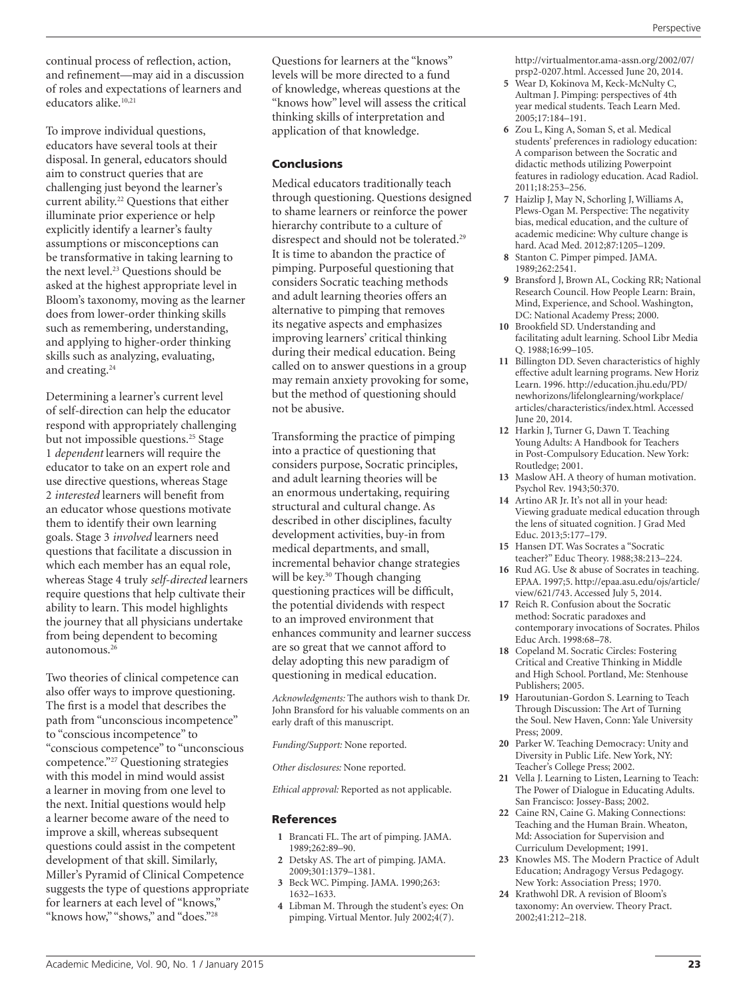continual process of reflection, action, and refinement—may aid in a discussion of roles and expectations of learners and educators alike.<sup>10,21</sup>

To improve individual questions, educators have several tools at their disposal. In general, educators should aim to construct queries that are challenging just beyond the learner's current ability.<sup>22</sup> Questions that either illuminate prior experience or help explicitly identify a learner's faulty assumptions or misconceptions can be transformative in taking learning to the next level.23 Questions should be asked at the highest appropriate level in Bloom's taxonomy, moving as the learner does from lower-order thinking skills such as remembering, understanding, and applying to higher-order thinking skills such as analyzing, evaluating, and creating.<sup>24</sup>

Determining a learner's current level of self-direction can help the educator respond with appropriately challenging but not impossible questions.<sup>25</sup> Stage 1 *dependent* learners will require the educator to take on an expert role and use directive questions, whereas Stage 2 *interested* learners will benefit from an educator whose questions motivate them to identify their own learning goals. Stage 3 *involved* learners need questions that facilitate a discussion in which each member has an equal role, whereas Stage 4 truly *self-directed* learners require questions that help cultivate their ability to learn. This model highlights the journey that all physicians undertake from being dependent to becoming autonomous.26

Two theories of clinical competence can also offer ways to improve questioning. The first is a model that describes the path from "unconscious incompetence" to "conscious incompetence" to "conscious competence" to "unconscious competence."27 Questioning strategies with this model in mind would assist a learner in moving from one level to the next. Initial questions would help a learner become aware of the need to improve a skill, whereas subsequent questions could assist in the competent development of that skill. Similarly, Miller's Pyramid of Clinical Competence suggests the type of questions appropriate for learners at each level of "knows," "knows how," "shows," and "does."28

Questions for learners at the "knows" levels will be more directed to a fund of knowledge, whereas questions at the "knows how" level will assess the critical thinking skills of interpretation and application of that knowledge.

#### Conclusions

Medical educators traditionally teach through questioning. Questions designed to shame learners or reinforce the power hierarchy contribute to a culture of disrespect and should not be tolerated.<sup>29</sup> It is time to abandon the practice of pimping. Purposeful questioning that considers Socratic teaching methods and adult learning theories offers an alternative to pimping that removes its negative aspects and emphasizes improving learners' critical thinking during their medical education. Being called on to answer questions in a group may remain anxiety provoking for some, but the method of questioning should not be abusive.

Transforming the practice of pimping into a practice of questioning that considers purpose, Socratic principles, and adult learning theories will be an enormous undertaking, requiring structural and cultural change. As described in other disciplines, faculty development activities, buy-in from medical departments, and small, incremental behavior change strategies will be key.<sup>30</sup> Though changing questioning practices will be difficult, the potential dividends with respect to an improved environment that enhances community and learner success are so great that we cannot afford to delay adopting this new paradigm of questioning in medical education.

*Acknowledgments:* The authors wish to thank Dr. John Bransford for his valuable comments on an early draft of this manuscript.

*Funding/Support:* None reported.

*Other disclosures:* None reported.

*Ethical approval:* Reported as not applicable.

#### References

- **1** Brancati FL. The art of pimping. JAMA. 1989;262:89–90.
- **2** Detsky AS. The art of pimping. JAMA. 2009;301:1379–1381.
- **3** Beck WC. Pimping. JAMA. 1990;263: 1632–1633.
- **4** Libman M. Through the student's eyes: On pimping. Virtual Mentor. July 2002;4(7).

[http://virtualmentor.ama-assn.org/2002/07/](http://virtualmentor.ama-assn.org/2002/07/prsp2-0207.html) [prsp2-0207.html](http://virtualmentor.ama-assn.org/2002/07/prsp2-0207.html). Accessed June 20, 2014.

- **5** Wear D, Kokinova M, Keck-McNulty C, Aultman J. Pimping: perspectives of 4th year medical students. Teach Learn Med. 2005;17:184–191.
- **6** Zou L, King A, Soman S, et al. Medical students' preferences in radiology education: A comparison between the Socratic and didactic methods utilizing Powerpoint features in radiology education. Acad Radiol. 2011;18:253–256.
- **7** Haizlip J, May N, Schorling J, Williams A, Plews-Ogan M. Perspective: The negativity bias, medical education, and the culture of academic medicine: Why culture change is hard. Acad Med. 2012;87:1205–1209.
- **8** Stanton C. Pimper pimped. JAMA. 1989;262:2541.
- **9** Bransford J, Brown AL, Cocking RR; National Research Council. How People Learn: Brain, Mind, Experience, and School. Washington, DC: National Academy Press; 2000.
- **10** Brookfield SD. Understanding and facilitating adult learning. School Libr Media Q. 1988;16:99–105.
- **11** Billington DD. Seven characteristics of highly effective adult learning programs. New Horiz Learn. 1996. [http://education.jhu.edu/PD/](http://education.jhu.edu/PD/newhorizons/lifelonglearning/workplace/articles/characteristics/index.html) [newhorizons/lifelonglearning/workplace/](http://education.jhu.edu/PD/newhorizons/lifelonglearning/workplace/articles/characteristics/index.html) [articles/characteristics/index.html.](http://education.jhu.edu/PD/newhorizons/lifelonglearning/workplace/articles/characteristics/index.html) Accessed June 20, 2014.
- **12** Harkin J, Turner G, Dawn T. Teaching Young Adults: A Handbook for Teachers in Post-Compulsory Education. New York: Routledge; 2001.
- **13** Maslow AH. A theory of human motivation. Psychol Rev. 1943;50:370.
- **14** Artino AR Jr. It's not all in your head: Viewing graduate medical education through the lens of situated cognition. J Grad Med Educ. 2013;5:177–179.
- **15** Hansen DT. Was Socrates a "Socratic teacher?" Educ Theory. 1988;38:213–224.
- **16** Rud AG. Use & abuse of Socrates in teaching. EPAA. 1997;5. [http://epaa.asu.edu/ojs/article/](http://epaa.asu.edu/ojs/article/view/621/743) [view/621/743](http://epaa.asu.edu/ojs/article/view/621/743). Accessed July 5, 2014.
- **17** Reich R. Confusion about the Socratic method: Socratic paradoxes and contemporary invocations of Socrates. Philos Educ Arch. 1998:68–78.
- **18** Copeland M. Socratic Circles: Fostering Critical and Creative Thinking in Middle and High School. Portland, Me: Stenhouse Publishers; 2005.
- **19** Haroutunian-Gordon S. Learning to Teach Through Discussion: The Art of Turning the Soul. New Haven, Conn: Yale University Press; 2009.
- **20** Parker W. Teaching Democracy: Unity and Diversity in Public Life. New York, NY: Teacher's College Press; 2002.
- **21** Vella J. Learning to Listen, Learning to Teach: The Power of Dialogue in Educating Adults. San Francisco: Jossey-Bass; 2002.
- **22** Caine RN, Caine G. Making Connections: Teaching and the Human Brain. Wheaton, Md: Association for Supervision and Curriculum Development; 1991.
- **23** Knowles MS. The Modern Practice of Adult Education; Andragogy Versus Pedagogy. New York: Association Press; 1970.
- **24** Krathwohl DR. A revision of Bloom's taxonomy: An overview. Theory Pract. 2002;41:212–218.